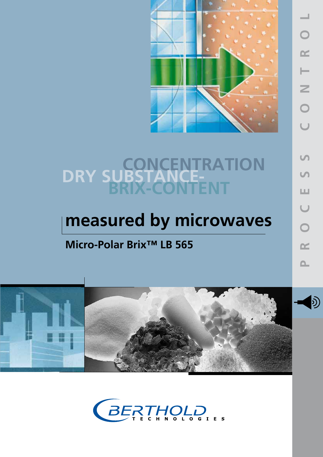

# **DRY SUBSTANCE-**<br>BRIX-CONTENT

## **measured by microwaves**

### **Micro-Polar Brix™ LB 565**



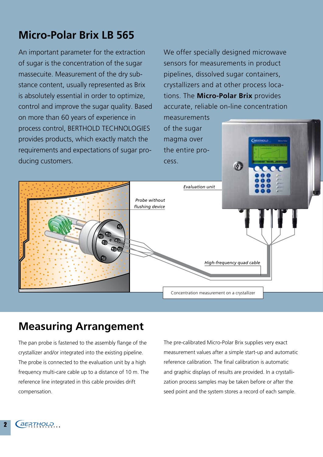#### **Micro-Polar Brix LB 565**

An important parameter for the extraction of sugar is the concentration of the sugar massecuite. Measurement of the dry substance content, usually represented as Brix is absolutely essential in order to optimize, control and improve the sugar quality. Based on more than 60 years of experience in process control, BERTHOLD TECHNOLOGIES provides products, which exactly match the requirements and expectations of sugar producing customers.

We offer specially designed microwave sensors for measurements in product pipelines, dissolved sugar containers, crystallizers and at other process locations. The **Micro-Polar Brix** provides accurate, reliable on-line concentration

-<br>**АКАТНО**СС

measurements of the sugar magma over the entire process.



#### **Measuring Arrangement**

The pan probe is fastened to the assembly flange of the crystallizer and/or integrated into the existing pipeline. The probe is connected to the evaluation unit by a high frequency multi-care cable up to a distance of 10 m. The reference line integrated in this cable provides drift compensation.

The pre-calibrated Micro-Polar Brix supplies very exact measurement values after a simple start-up and automatic reference calibration. The final calibration is automatic and graphic displays of results are provided. In a crystallization process samples may be taken before or after the seed point and the system stores a record of each sample.

2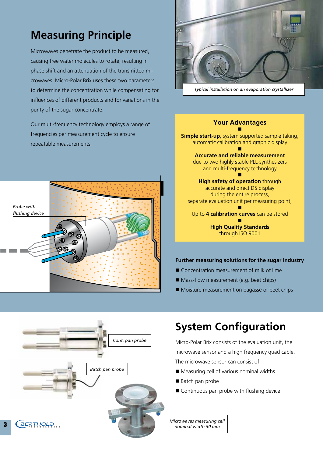#### **Measuring Principle**

Microwaves penetrate the product to be measured, causing free water molecules to rotate, resulting in phase shift and an attenuation of the transmitted microwaves. Micro-Polar Brix uses these two parameters to determine the concentration while compensating for influences of different products and for variations in the purity of the sugar concentrate.

Our multi-frequency technology employs a range of frequencies per measurement cycle to ensure repeatable measurements.





#### **Your Advantages** n **Simple start-up**, system supported sample taking, automatic calibration and graphic display n **Accurate and reliable measurement**  due to two highly stable PLL-synthesizers and multi-frequency technology n **High safety of operation** through accurate and direct DS display during the entire process, separate evaluation unit per measuring point, n Up to **4 calibration curves** can be stored n **High Quality Standards** through ISO 9001

#### **Further measuring solutions for the sugar industry**

- $\blacksquare$  Concentration measurement of milk of lime
- $\blacksquare$  Mass-flow measurement (e.g. beet chips)
- Moisture measurement on bagasse or beet chips



## **System Configuration**

Micro-Polar Brix consists of the evaluation unit, the microwave sensor and a high frequency quad cable. The microwave sensor can consist of:

- Measuring cell of various nominal widths
- Batch pan probe
- $\blacksquare$  Continuous pan probe with flushing device

*Microwaves measuring cell nominal width 50 mm*